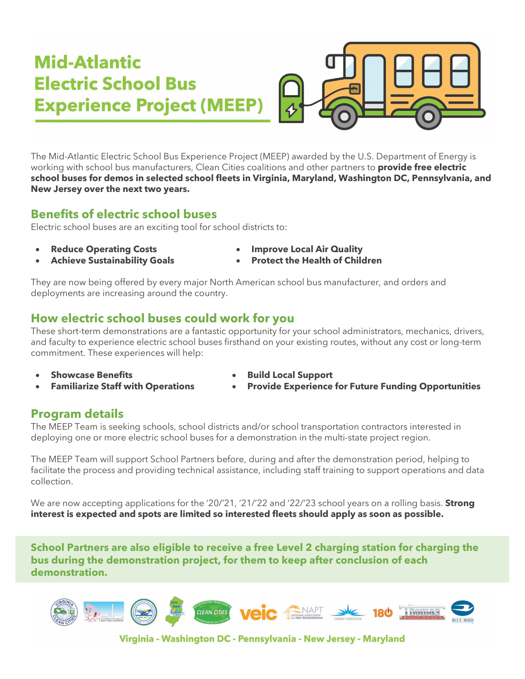# Mid-Atlantic **Electric School Bus Experience Project (MEEP)**

The Mid-Atlantic Electric School Bus Experience Project (MEEP) awarded by the U.S. Department of Energy is working with school bus manufacturers, Clean Cities coalitions and other partners to **provide free electric school buses for demos in selected school fleets in Virginia, Maryland, Washington DC, Pennsylvania, and New Jersey over the next two years.**

#### **Benefits of electric school buses**

Electric school buses are an exciting tool for school districts to:

- - **Reduce Operating Costs Improve Local Air Quality**
- 
- **Achieve Sustainability Goals Protect the Health of Children**

They are now being offered by every major North American school bus manufacturer, and orders and deployments are increasing around the country.

## **How electric school buses could work for you**

These short-term demonstrations are a fantastic opportunity for your school administrators, mechanics, drivers, and faculty to experience electric school buses firsthand on your existing routes, without any cost or long-term commitment. These experiences will help:

- 
- 
- **Showcase Benefits Build Local Support**
- **Familiarize Staff with Operations Provide Experience for Future Funding Opportunities**

#### **Program details**

The MEEP Team is seeking schools, school districts and/or school transportation contractors interested in deploying one or more electric school buses for a demonstration in the multi-state project region.

The MEEP Team will support School Partners before, during and after the demonstration period, helping to facilitate the process and providing technical assistance, including staff training to support operations and data collection.

We are now accepting applications for the '20/'21, '21/'22 and '22/'23 school years on a rolling basis. **Strong interest is expected and spots are limited so interested fleets should apply as soon as possible.**

**School Partners are also eligible to receive a free Level 2 charging station for charging the bus during the demonstration project, for them to keep after conclusion of each demonstration.**



Virginia - Washington DC - Pennsylvania - New Jersey - Maryland